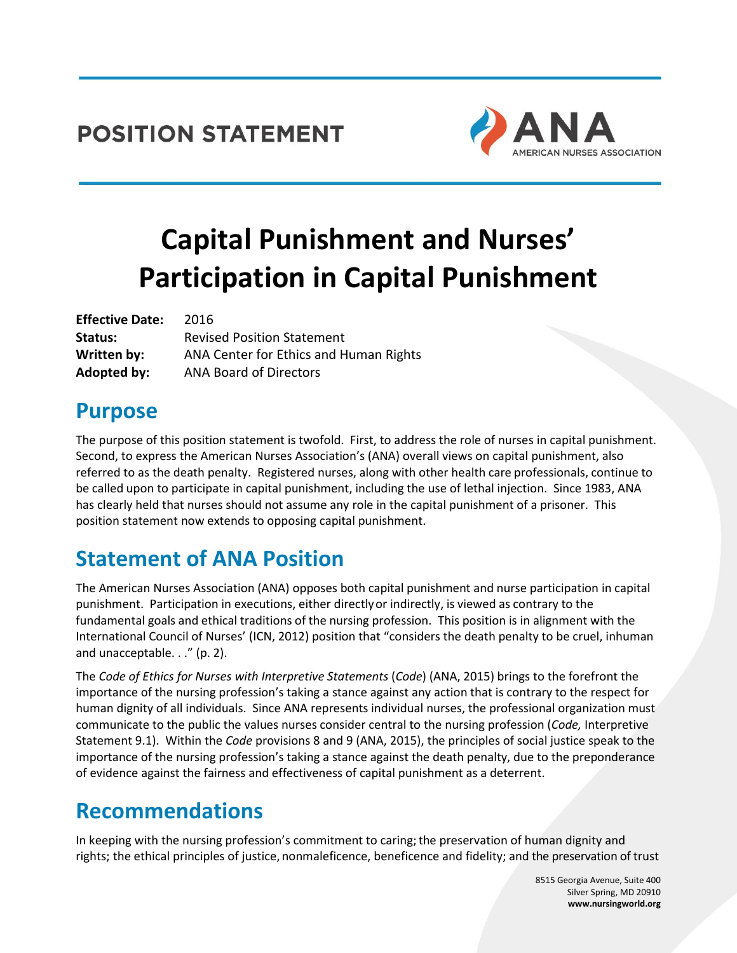#### **POSITION STATEMENT**



# **Capital Punishment and Nurses' Participation in Capital Punishment**

| <b>Effective Date:</b> | 2016                                   |
|------------------------|----------------------------------------|
| Status:                | <b>Revised Position Statement</b>      |
| Written by:            | ANA Center for Ethics and Human Rights |
| Adopted by:            | <b>ANA Board of Directors</b>          |

#### **Purpose**

The purpose of this position statement is twofold. First, to address the role of nurses in capital punishment. Second, to express the American Nurses Association's (ANA) overall views on capital punishment, also referred to as the death penalty. Registered nurses, along with other health care professionals, continue to be called upon to participate in capital punishment, including the use of lethal injection. Since 1983, ANA has clearly held that nurses should not assume any role in the capital punishment of a prisoner. This position statement now extends to opposing capital punishment.

# **Statement of ANA Position**

The American Nurses Association (ANA) opposes both capital punishment and nurse participation in capital punishment. Participation in executions, either directlyor indirectly, is viewed as contrary to the fundamental goals and ethical traditions of the nursing profession. This position is in alignment with the International Council of Nurses' (ICN, 2012) position that "considers the death penalty to be cruel, inhuman and unacceptable. . ." (p. 2).

The *Code of Ethics for Nurses with Interpretive Statements* (*Code*) (ANA, 2015) brings to the forefront the importance of the nursing profession's taking a stance against any action that is contrary to the respect for human dignity of all individuals. Since ANA represents individual nurses, the professional organization must communicate to the public the values nurses consider central to the nursing profession (*Code,* Interpretive Statement 9.1). Within the *Code* provisions 8 and 9 (ANA, 2015), the principles of social justice speak to the importance of the nursing profession's taking a stance against the death penalty, due to the preponderance of evidence against the fairness and effectiveness of capital punishment as a deterrent.

# **Recommendations**

In keeping with the nursing profession's commitment to caring; the preservation of human dignity and rights; the ethical principles of justice, nonmaleficence, beneficence and fidelity; and the preservation of trust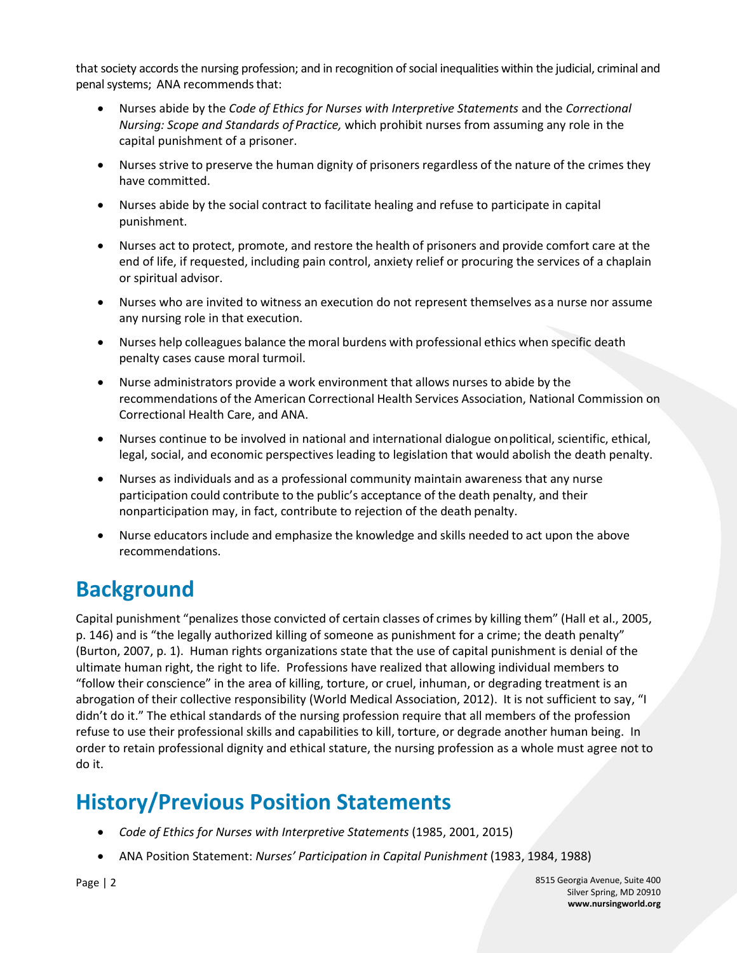that society accords the nursing profession; and in recognition of social inequalities within the judicial, criminal and penal systems; ANA recommends that:

- Nurses abide by the *Code of Ethics for Nurses with Interpretive Statements* and the *Correctional Nursing: Scope and Standards of Practice,* which prohibit nurses from assuming any role in the capital punishment of a prisoner.
- Nurses strive to preserve the human dignity of prisoners regardless of the nature of the crimes they have committed.
- Nurses abide by the social contract to facilitate healing and refuse to participate in capital punishment.
- Nurses act to protect, promote, and restore the health of prisoners and provide comfort care at the end of life, if requested, including pain control, anxiety relief or procuring the services of a chaplain or spiritual advisor.
- Nurses who are invited to witness an execution do not represent themselves as a nurse nor assume any nursing role in that execution.
- Nurses help colleagues balance the moral burdens with professional ethics when specific death penalty cases cause moral turmoil.
- Nurse administrators provide a work environment that allows nurses to abide by the recommendations of the American Correctional Health Services Association, National Commission on Correctional Health Care, and ANA.
- Nurses continue to be involved in national and international dialogue onpolitical, scientific, ethical, legal, social, and economic perspectives leading to legislation that would abolish the death penalty.
- Nurses as individuals and as a professional community maintain awareness that any nurse participation could contribute to the public's acceptance of the death penalty, and their nonparticipation may, in fact, contribute to rejection of the death penalty.
- Nurse educators include and emphasize the knowledge and skills needed to act upon the above recommendations.

### **Background**

Capital punishment "penalizes those convicted of certain classes of crimes by killing them" (Hall et al., 2005, p. 146) and is "the legally authorized killing of someone as punishment for a crime; the death penalty" (Burton, 2007, p. 1). Human rights organizations state that the use of capital punishment is denial of the ultimate human right, the right to life. Professions have realized that allowing individual members to "follow their conscience" in the area of killing, torture, or cruel, inhuman, or degrading treatment is an abrogation of their collective responsibility (World Medical Association, 2012). It is not sufficient to say, "I didn't do it." The ethical standards of the nursing profession require that all members of the profession refuse to use their professional skills and capabilities to kill, torture, or degrade another human being. In order to retain professional dignity and ethical stature, the nursing profession as a whole must agree not to do it.

### **History/Previous Position Statements**

- *Code of Ethics for Nurses with Interpretive Statements* (1985, 2001, 2015)
- ANA Position Statement: *Nurses' Participation in Capital Punishment* (1983, 1984, 1988)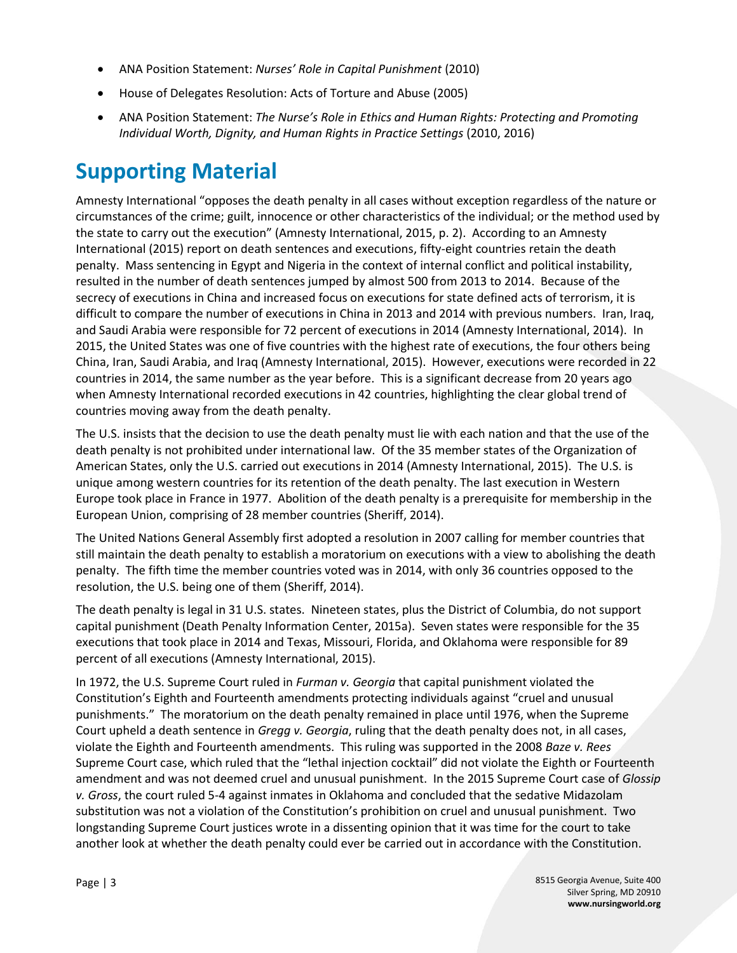- ANA Position Statement: *Nurses' Role in Capital Punishment* (2010)
- House of Delegates Resolution: Acts of Torture and Abuse (2005)
- ANA Position Statement: *The Nurse's Role in Ethics and Human Rights: Protecting and Promoting Individual Worth, Dignity, and Human Rights in Practice Settings* (2010, 2016)

### **Supporting Material**

Amnesty International "opposes the death penalty in all cases without exception regardless of the nature or circumstances of the crime; guilt, innocence or other characteristics of the individual; or the method used by the state to carry out the execution" (Amnesty International, 2015, p. 2). According to an Amnesty International (2015) report on death sentences and executions, fifty-eight countries retain the death penalty. Mass sentencing in Egypt and Nigeria in the context of internal conflict and political instability, resulted in the number of death sentences jumped by almost 500 from 2013 to 2014. Because of the secrecy of executions in China and increased focus on executions for state defined acts of terrorism, it is difficult to compare the number of executions in China in 2013 and 2014 with previous numbers. Iran, Iraq, and Saudi Arabia were responsible for 72 percent of executions in 2014 (Amnesty International, 2014). In 2015, the United States was one of five countries with the highest rate of executions, the four others being China, Iran, Saudi Arabia, and Iraq (Amnesty International, 2015). However, executions were recorded in 22 countries in 2014, the same number as the year before. This is a significant decrease from 20 years ago when Amnesty International recorded executions in 42 countries, highlighting the clear global trend of countries moving away from the death penalty.

The U.S. insists that the decision to use the death penalty must lie with each nation and that the use of the death penalty is not prohibited under international law. Of the 35 member states of the Organization of American States, only the U.S. carried out executions in 2014 (Amnesty International, 2015). The U.S. is unique among western countries for its retention of the death penalty. The last execution in Western Europe took place in France in 1977. Abolition of the death penalty is a prerequisite for membership in the European Union, comprising of 28 member countries (Sheriff, 2014).

The United Nations General Assembly first adopted a resolution in 2007 calling for member countries that still maintain the death penalty to establish a moratorium on executions with a view to abolishing the death penalty. The fifth time the member countries voted was in 2014, with only 36 countries opposed to the resolution, the U.S. being one of them (Sheriff, 2014).

The death penalty is legal in 31 U.S. states. Nineteen states, plus the District of Columbia, do not support capital punishment (Death Penalty Information Center, 2015a). Seven states were responsible for the 35 executions that took place in 2014 and Texas, Missouri, Florida, and Oklahoma were responsible for 89 percent of all executions (Amnesty International, 2015).

In 1972, the U.S. Supreme Court ruled in *Furman v. Georgia* that capital punishment violated the Constitution's Eighth and Fourteenth amendments protecting individuals against "cruel and unusual punishments." The moratorium on the death penalty remained in place until 1976, when the Supreme Court upheld a death sentence in *Gregg v. Georgia*, ruling that the death penalty does not, in all cases, violate the Eighth and Fourteenth amendments. This ruling was supported in the 2008 *Baze v. Rees* Supreme Court case, which ruled that the "lethal injection cocktail" did not violate the Eighth or Fourteenth amendment and was not deemed cruel and unusual punishment. In the 2015 Supreme Court case of *Glossip v. Gross*, the court ruled 5-4 against inmates in Oklahoma and concluded that the sedative Midazolam substitution was not a violation of the Constitution's prohibition on cruel and unusual punishment. Two longstanding Supreme Court justices wrote in a dissenting opinion that it was time for the court to take another look at whether the death penalty could ever be carried out in accordance with the Constitution.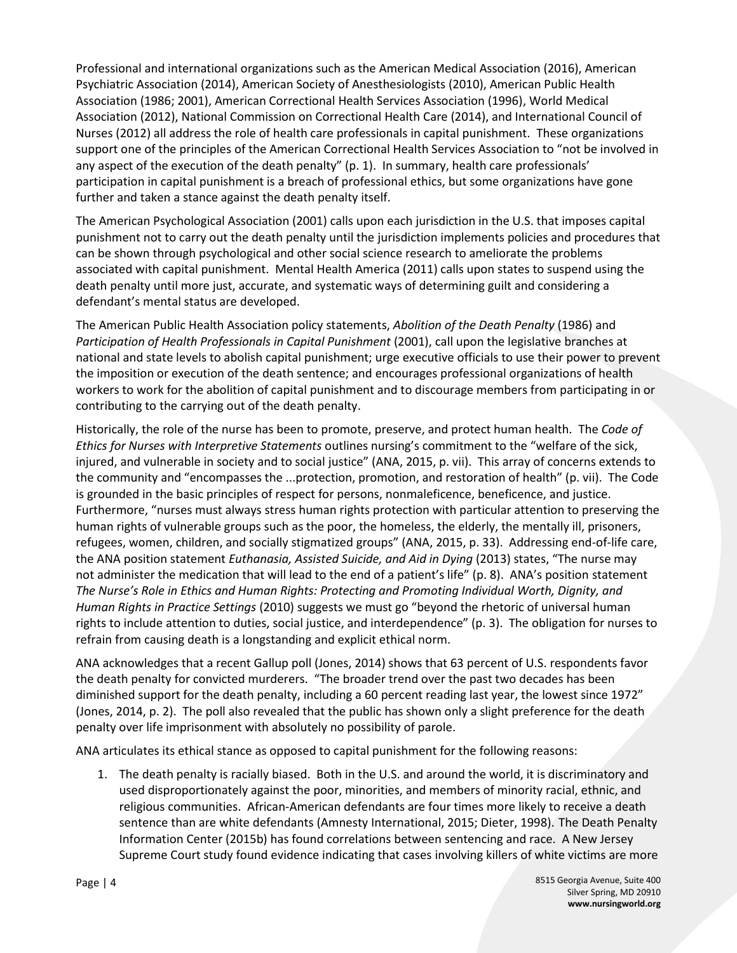Professional and international organizations such as the American Medical Association (2016), American Psychiatric Association (2014), American Society of Anesthesiologists (2010), American Public Health Association (1986; 2001), American Correctional Health Services Association (1996), World Medical Association (2012), National Commission on Correctional Health Care (2014), and International Council of Nurses (2012) all address the role of health care professionals in capital punishment. These organizations support one of the principles of the American Correctional Health Services Association to "not be involved in any aspect of the execution of the death penalty" (p. 1). In summary, health care professionals' participation in capital punishment is a breach of professional ethics, but some organizations have gone further and taken a stance against the death penalty itself.

The American Psychological Association (2001) calls upon each jurisdiction in the U.S. that imposes capital punishment not to carry out the death penalty until the jurisdiction implements policies and procedures that can be shown through psychological and other social science research to ameliorate the problems associated with capital punishment. Mental Health America (2011) calls upon states to suspend using the death penalty until more just, accurate, and systematic ways of determining guilt and considering a defendant's mental status are developed.

The American Public Health Association policy statements, *Abolition of the Death Penalty* (1986) and *Participation of Health Professionals in Capital Punishment* (2001), call upon the legislative branches at national and state levels to abolish capital punishment; urge executive officials to use their power to prevent the imposition or execution of the death sentence; and encourages professional organizations of health workers to work for the abolition of capital punishment and to discourage members from participating in or contributing to the carrying out of the death penalty.

Historically, the role of the nurse has been to promote, preserve, and protect human health. The *Code of Ethics for Nurses with Interpretive Statements* outlines nursing's commitment to the "welfare of the sick, injured, and vulnerable in society and to social justice" (ANA, 2015, p. vii). This array of concerns extends to the community and "encompasses the ...protection, promotion, and restoration of health" (p. vii). The Code is grounded in the basic principles of respect for persons, nonmaleficence, beneficence, and justice. Furthermore, "nurses must always stress human rights protection with particular attention to preserving the human rights of vulnerable groups such as the poor, the homeless, the elderly, the mentally ill, prisoners, refugees, women, children, and socially stigmatized groups" (ANA, 2015, p. 33). Addressing end-of-life care, the ANA position statement *Euthanasia, Assisted Suicide, and Aid in Dying* (2013) states, "The nurse may not administer the medication that will lead to the end of a patient's life" (p. 8). ANA's position statement *The Nurse's Role in Ethics and Human Rights: Protecting and Promoting Individual Worth, Dignity, and Human Rights in Practice Settings* (2010) suggests we must go "beyond the rhetoric of universal human rights to include attention to duties, social justice, and interdependence" (p. 3). The obligation for nurses to refrain from causing death is a longstanding and explicit ethical norm.

ANA acknowledges that a recent Gallup poll (Jones, 2014) shows that 63 percent of U.S. respondents favor the death penalty for convicted murderers. "The broader trend over the past two decades has been diminished support for the death penalty, including a 60 percent reading last year, the lowest since 1972" (Jones, 2014, p. 2). The poll also revealed that the public has shown only a slight preference for the death penalty over life imprisonment with absolutely no possibility of parole.

ANA articulates its ethical stance as opposed to capital punishment for the following reasons:

1. The death penalty is racially biased. Both in the U.S. and around the world, it is discriminatory and used disproportionately against the poor, minorities, and members of minority racial, ethnic, and religious communities. African-American defendants are four times more likely to receive a death sentence than are white defendants (Amnesty International, 2015; Dieter, 1998). The Death Penalty Information Center (2015b) has found correlations between sentencing and race. A New Jersey Supreme Court study found evidence indicating that cases involving killers of white victims are more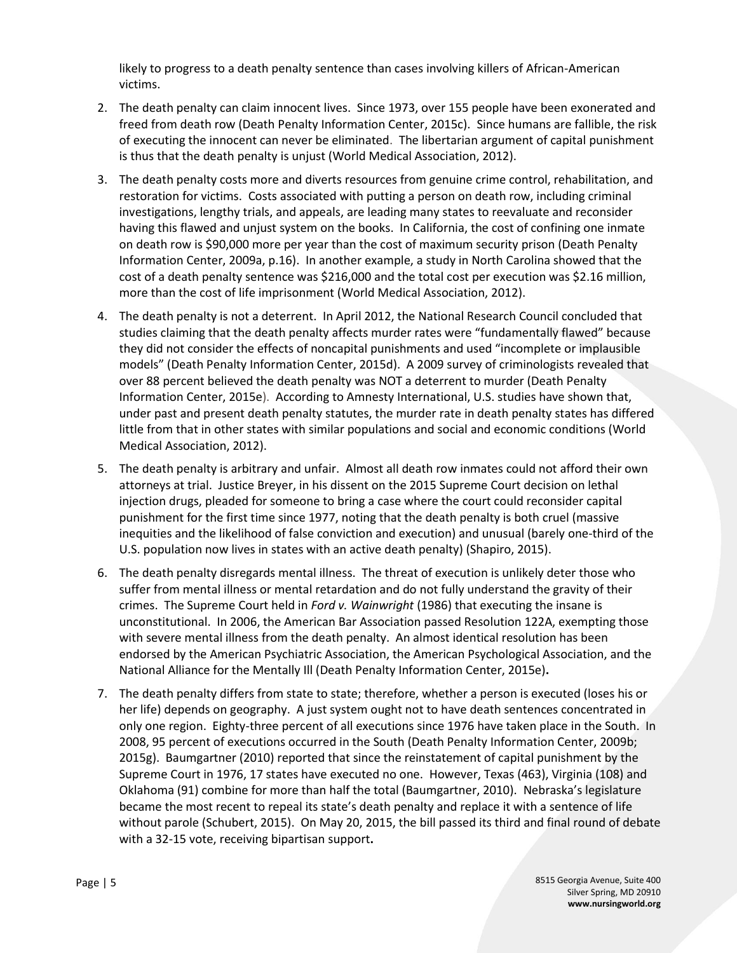likely to progress to a death penalty sentence than cases involving killers of African-American victims.

- 2. The death penalty can claim innocent lives. Since 1973, over 155 people have been exonerated and freed from death row (Death Penalty Information Center, 2015c). Since humans are fallible, the risk of executing the innocent can never be eliminated. The libertarian argument of capital punishment is thus that the death penalty is unjust (World Medical Association, 2012).
- 3. The death penalty costs more and diverts resources from genuine crime control, rehabilitation, and restoration for victims. Costs associated with putting a person on death row, including criminal investigations, lengthy trials, and appeals, are leading many states to reevaluate and reconsider having this flawed and unjust system on the books. In California, the cost of confining one inmate on death row is \$90,000 more per year than the cost of maximum security prison (Death Penalty Information Center, 2009a, p.16). In another example, a study in North Carolina showed that the cost of a death penalty sentence was \$216,000 and the total cost per execution was \$2.16 million, more than the cost of life imprisonment (World Medical Association, 2012).
- 4. The death penalty is not a deterrent. In April 2012, the National Research Council concluded that studies claiming that the death penalty affects murder rates were "fundamentally flawed" because they did not consider the effects of noncapital punishments and used "incomplete or implausible models" (Death Penalty Information Center, 2015d). A 2009 survey of criminologists revealed that over 88 percent believed the death penalty was NOT a deterrent to murder (Death Penalty Information Center, 2015e). According to Amnesty International, U.S. studies have shown that, under past and present death penalty statutes, the murder rate in death penalty states has differed little from that in other states with similar populations and social and economic conditions (World Medical Association, 2012).
- 5. The death penalty is arbitrary and unfair. Almost all death row inmates could not afford their own attorneys at trial. Justice Breyer, in his dissent on the 2015 Supreme Court decision on lethal injection drugs, pleaded for someone to bring a case where the court could reconsider capital punishment for the first time since 1977, noting that the death penalty is both cruel (massive inequities and the likelihood of false conviction and execution) and unusual (barely one-third of the U.S. population now lives in states with an active death penalty) (Shapiro, 2015).
- 6. The death penalty disregards mental illness. The threat of execution is unlikely deter those who suffer from mental illness or mental retardation and do not fully understand the gravity of their crimes. The Supreme Court held in *Ford v. Wainwright* (1986) that executing the insane is unconstitutional.In 2006, the American Bar Association passed Resolution 122A, exempting those with severe mental illness from the death penalty. An almost identical resolution has been endorsed by the American Psychiatric Association, the American Psychological Association, and the National Alliance for the Mentally Ill (Death Penalty Information Center, 2015e)**.**
- 7. The death penalty differs from state to state; therefore, whether a person is executed (loses his or her life) depends on geography. A just system ought not to have death sentences concentrated in only one region. Eighty-three percent of all executions since 1976 have taken place in the South. In 2008, 95 percent of executions occurred in the South (Death Penalty Information Center, 2009b; 2015g). Baumgartner (2010) reported that since the reinstatement of capital punishment by the Supreme Court in 1976, 17 states have executed no one. However, Texas (463), Virginia (108) and Oklahoma (91) combine for more than half the total (Baumgartner, 2010). Nebraska's legislature became the most recent to repeal its state's death penalty and replace it with a sentence of life without parole (Schubert, 2015). On May 20, 2015, the bill passed its third and final round of debate with a 32-15 vote[, receiving bipartisan support](http://www.deathpenaltyinfo.org/node/6124)**.**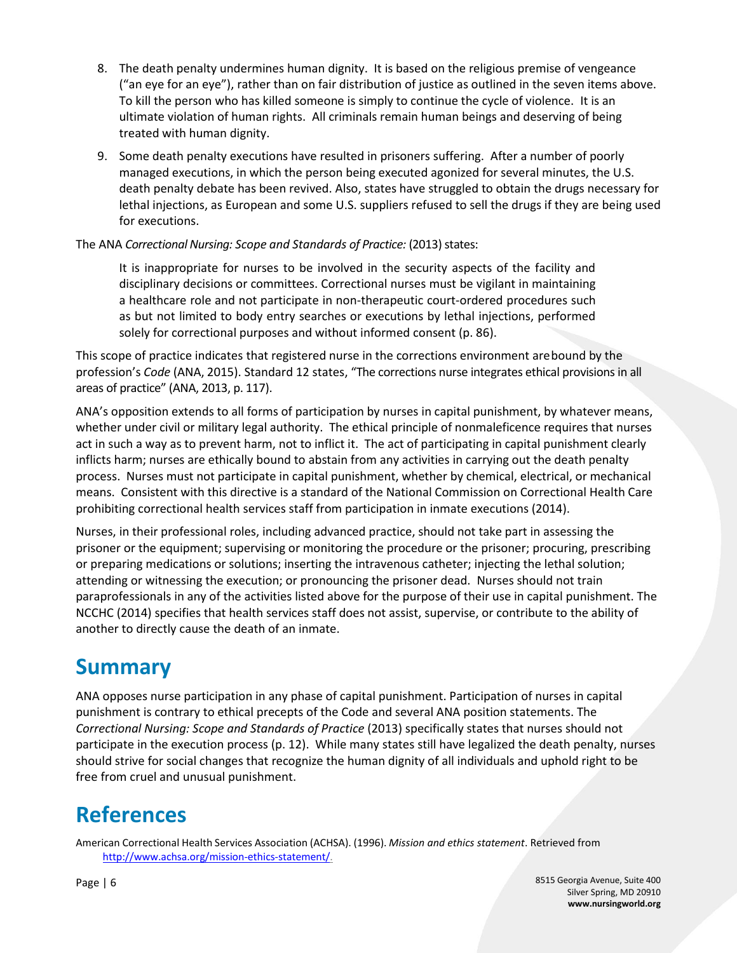- 8. The death penalty undermines human dignity. It is based on the religious premise of vengeance ("an eye for an eye"), rather than on fair distribution of justice as outlined in the seven items above. To kill the person who has killed someone is simply to continue the cycle of violence. It is an ultimate violation of human rights. All criminals remain human beings and deserving of being treated with human dignity.
- 9. Some death penalty executions have resulted in prisoners suffering. After a number of poorly managed executions, in which the person being executed agonized for several minutes, the U.S. death penalty debate has been revived. Also, states have struggled to obtain the drugs necessary for lethal injections, as European and some U.S. suppliers refused to sell the drugs if they are being used for executions.

The ANA Correctional Nursing: Scope and Standards of Practice: (2013) states:

It is inappropriate for nurses to be involved in the security aspects of the facility and disciplinary decisions or committees. Correctional nurses must be vigilant in maintaining a healthcare role and not participate in non-therapeutic court-ordered procedures such as but not limited to body entry searches or executions by lethal injections, performed solely for correctional purposes and without informed consent (p. 86).

This scope of practice indicates that registered nurse in the corrections environment arebound by the profession's *Code* (ANA, 2015). Standard 12 states, "The corrections nurse integrates ethical provisions in all areas of practice" (ANA, 2013, p. 117).

ANA's opposition extends to all forms of participation by nurses in capital punishment, by whatever means, whether under civil or military legal authority. The ethical principle of nonmaleficence requires that nurses act in such a way as to prevent harm, not to inflict it. The act of participating in capital punishment clearly inflicts harm; nurses are ethically bound to abstain from any activities in carrying out the death penalty process. Nurses must not participate in capital punishment, whether by chemical, electrical, or mechanical means. Consistent with this directive is a standard of the National Commission on Correctional Health Care prohibiting correctional health services staff from participation in inmate executions (2014).

Nurses, in their professional roles, including advanced practice, should not take part in assessing the prisoner or the equipment; supervising or monitoring the procedure or the prisoner; procuring, prescribing or preparing medications or solutions; inserting the intravenous catheter; injecting the lethal solution; attending or witnessing the execution; or pronouncing the prisoner dead. Nurses should not train paraprofessionals in any of the activities listed above for the purpose of their use in capital punishment. The NCCHC (2014) specifies that health services staff does not assist, supervise, or contribute to the ability of another to directly cause the death of an inmate.

#### **Summary**

ANA opposes nurse participation in any phase of capital punishment. Participation of nurses in capital punishment is contrary to ethical precepts of the Code and several ANA position statements. The *Correctional Nursing: Scope and Standards of Practice* (2013) specifically states that nurses should not participate in the execution process (p. 12). While many states still have legalized the death penalty, nurses should strive for social changes that recognize the human dignity of all individuals and uphold right to be free from cruel and unusual punishment.

# **References**

American Correctional Health Services Association (ACHSA). (1996). *Mission and ethics statement*. Retrieved from [http://www.achsa.org/mission-ethics-statement/.](http://www.achsa.org/mission-ethics-statement/)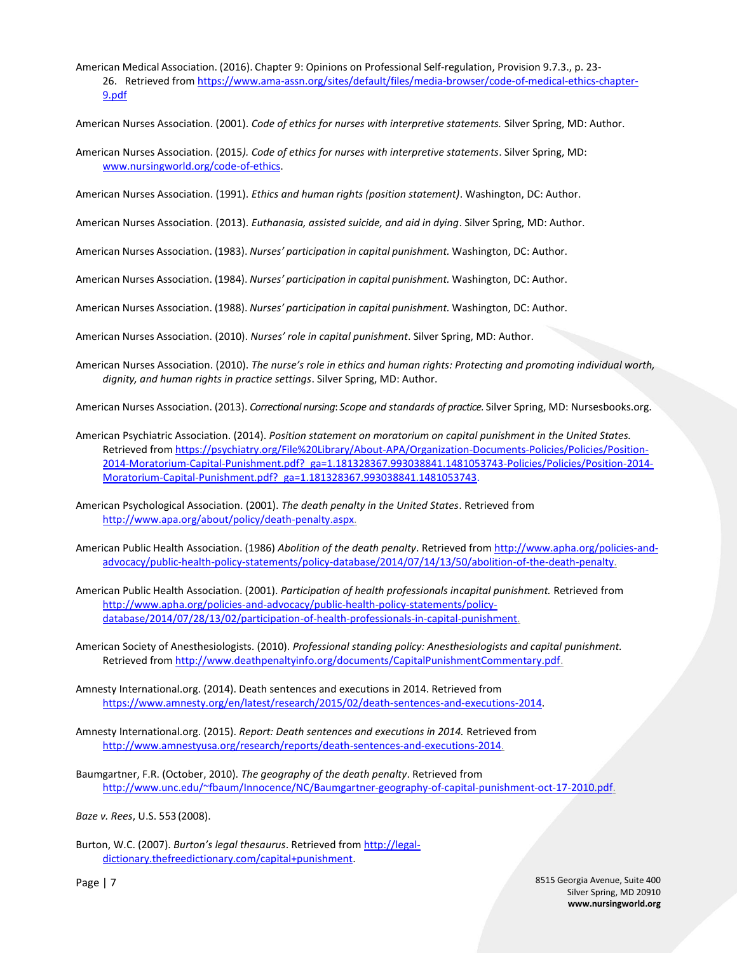American Medical Association. (2016). Chapter 9: Opinions on Professional Self-regulation, Provision 9.7.3., p. 23- 26. Retrieved from [https://www.ama-assn.org/sites/default/files/media-browser/code-of-medical-ethics-chapter-](https://www.ama-assn.org/sites/default/files/media-browser/code-of-medical-ethics-chapter-9.pdf)[9.pdf](https://www.ama-assn.org/sites/default/files/media-browser/code-of-medical-ethics-chapter-9.pdf)

American Nurses Association. (2001). *Code of ethics for nurses with interpretive statements.* Silver Spring, MD: Author.

American Nurses Association. (2015*). Code of ethics for nurses with interpretive statements*. Silver Spring, MD: [www.nursingworld.org/code-of-ethics.](http://www.nursingworld.org/code-of-ethics)

American Nurses Association. (1991). *Ethics and human rights (position statement)*. Washington, DC: Author.

American Nurses Association. (2013). *Euthanasia, assisted suicide, and aid in dying*. Silver Spring, MD: Author.

American Nurses Association. (1983). *Nurses' participation in capital punishment.* Washington, DC: Author.

American Nurses Association. (1984). *Nurses' participation in capital punishment.* Washington, DC: Author.

American Nurses Association. (1988). *Nurses' participation in capital punishment.* Washington, DC: Author.

American Nurses Association. (2010). *Nurses' role in capital punishment*. Silver Spring, MD: Author.

American Nurses Association. (2010). *The nurse's role in ethics and human rights: Protecting and promoting individual worth, dignity, and human rights in practice settings*. Silver Spring, MD: Author.

American Nurses Association. (2013). *Correctional nursing*: *Scope and standards of practice.* Silver Spring, MD: Nursesbooks.org.

American Psychiatric Association. (2014). *Position statement on moratorium on capital punishment in the United States.* Retrieved fro[m https://psychiatry.org/File%20Library/About-APA/Organization-Documents-Policies/Policies/Position-](https://psychiatry.org/File%20Library/About-APA/Organization-Documents-Policies/Policies/Position-2014-Moratorium-Capital-Punishment.pdf?_ga=1.181328367.993038841.1481053743-Policies/Policies/Position-2014-Moratorium-Capital-Punishment.pdf?_ga=1.181328367.993038841.1481053743)[2014-Moratorium-Capital-Punishment.pdf?\\_ga=1.181328367.993038841.1481053743-Policies/Policies/Position-2014-](https://psychiatry.org/File%20Library/About-APA/Organization-Documents-Policies/Policies/Position-2014-Moratorium-Capital-Punishment.pdf?_ga=1.181328367.993038841.1481053743-Policies/Policies/Position-2014-Moratorium-Capital-Punishment.pdf?_ga=1.181328367.993038841.1481053743) [Moratorium-Capital-Punishment.pdf?\\_ga=1.181328367.993038841.1481053743.](https://psychiatry.org/File%20Library/About-APA/Organization-Documents-Policies/Policies/Position-2014-Moratorium-Capital-Punishment.pdf?_ga=1.181328367.993038841.1481053743-Policies/Policies/Position-2014-Moratorium-Capital-Punishment.pdf?_ga=1.181328367.993038841.1481053743)

American Psychological Association. (2001). *The death penalty in the United States*. Retrieved from [http://www.apa.org/about/policy/death-penalty.aspx.](http://www.apa.org/about/policy/death-penalty.aspx)

American Public Health Association. (1986) *Abolition of the death penalty*. Retrieved fro[m http://www.apha.org/policies-and](http://www.apha.org/policies-and-advocacy/public-health-policy-statements/policy-database/2014/07/14/13/50/abolition-of-the-death-penalty)[advocacy/public-health-policy-statements/policy-database/2014/07/14/13/50/abolition-of-the-death-penalty.](http://www.apha.org/policies-and-advocacy/public-health-policy-statements/policy-database/2014/07/14/13/50/abolition-of-the-death-penalty)

American Public Health Association. (2001). *Participation of health professionals incapital punishment.* Retrieved from [http://www.apha.org/policies-and-advocacy/public-health-policy-statements/policy](http://www.apha.org/policies-and-advocacy/public-health-policy-statements/policy-database/2014/07/28/13/02/participation-of-health-professionals-in-capital-punishment)[database/2014/07/28/13/02/participation-of-health-professionals-in-capital-punishment.](http://www.apha.org/policies-and-advocacy/public-health-policy-statements/policy-database/2014/07/28/13/02/participation-of-health-professionals-in-capital-punishment)

American Society of Anesthesiologists. (2010). *Professional standing policy: Anesthesiologists and capital punishment.*  Retrieved fro[m http://www.deathpenaltyinfo.org/documents/CapitalPunishmentCommentary.pdf.](http://www.deathpenaltyinfo.org/documents/CapitalPunishmentCommentary.pdf)

- Amnesty International.org. (2014). Death sentences and executions in 2014. Retrieved from [https://www.amnesty.org/en/latest/research/2015/02/death-sentences-and-executions-2014.](https://www.amnesty.org/en/latest/research/2015/02/death-sentences-and-executions-2014)
- Amnesty International.org. (2015). *Report: Death sentences and executions in 2014.* Retrieved from [http://www.amnestyusa.org/research/reports/death-sentences-and-executions-2014.](http://www.amnestyusa.org/research/reports/death-sentences-and-executions-2014)
- Baumgartner, F.R. (October, 2010). *The geography of the death penalty*. Retrieved from [http://www.unc.edu/~fbaum/Innocence/NC/Baumgartner-geography-of-capital-punishment-oct-17-2010.pdf.](http://www.unc.edu/~fbaum/Innocence/NC/Baumgartner-geography-of-capital-punishment-oct-17-2010.pdf)

*Baze v. Rees*, U.S. 553 (2008).

Burton, W.C. (2007). *Burton's legal thesaurus*. Retrieved fro[m http://legal](http://legal-dictionary.thefreedictionary.com/capital+punishment)[dictionary.thefreedictionary.com/capital+punishment.](http://legal-dictionary.thefreedictionary.com/capital+punishment)

> 8515 Georgia Avenue, Suite 400 Silver Spring, MD 20910 **www.nursingworld.org**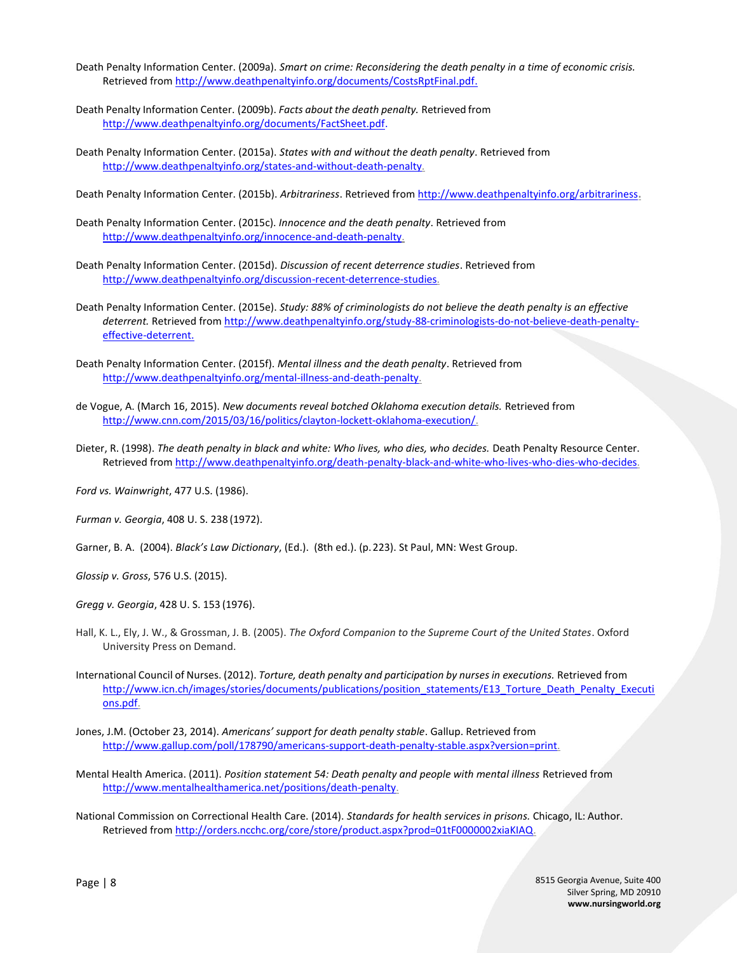- Death Penalty Information Center. (2009a). *Smart on crime: Reconsidering the death penalty in a time of economic crisis.* Retrieved fro[m http://www.deathpenaltyinfo.org/documents/CostsRptFinal.pdf.](http://www.deathpenaltyinfo.org/documents/CostsRptFinal.pdf)
- Death Penalty Information Center. (2009b). *Facts about the death penalty.* Retrieved from [http://www.deathpenaltyinfo.org/documents/FactSheet.pdf.](http://www.deathpenaltyinfo.org/documents/FactSheet.pdf)
- Death Penalty Information Center. (2015a). *States with and without the death penalty*. Retrieved from [http://www.deathpenaltyinfo.org/states-and-without-death-penalty.](http://www.deathpenaltyinfo.org/states-and-without-death-penalty)

Death Penalty Information Center. (2015b). *Arbitrariness*. Retrieved from <http://www.deathpenaltyinfo.org/arbitrariness>**.**

- Death Penalty Information Center. (2015c). *Innocence and the death penalty*. Retrieved from [http://www.deathpenaltyinfo.org/innocence-and-death-penalty.](http://www.deathpenaltyinfo.org/innocence-and-death-penalty)
- Death Penalty Information Center. (2015d). *Discussion of recent deterrence studies*. Retrieved from [http://www.deathpenaltyinfo.org/discussion-recent-deterrence-studies.](http://www.deathpenaltyinfo.org/discussion-recent-deterrence-studies)
- Death Penalty Information Center. (2015e). *Study: 88% of criminologists do not believe the death penalty is an effective deterrent.* Retrieved fro[m http://www.deathpenaltyinfo.org/study-88-criminologists-do-not-believe-death-penalty](http://www.deathpenaltyinfo.org/study-88-criminologists-do-not-believe-death-penalty-effective-deterrent)[effective-deterrent.](http://www.deathpenaltyinfo.org/study-88-criminologists-do-not-believe-death-penalty-effective-deterrent)
- Death Penalty Information Center. (2015f). *Mental illness and the death penalty*. Retrieved from [http://www.deathpenaltyinfo.org/mental-illness-and-death-penalty.](http://www.deathpenaltyinfo.org/mental-illness-and-death-penalty)
- de Vogue, A. (March 16, 2015). *New documents reveal botched Oklahoma execution details.* Retrieved from [http://www.cnn.com/2015/03/16/politics/clayton-lockett-oklahoma-execution/.](http://www.cnn.com/2015/03/16/politics/clayton-lockett-oklahoma-execution/)
- Dieter, R. (1998). *The death penalty in black and white: Who lives, who dies, who decides.* Death Penalty Resource Center. Retrieved from [http://www.deathpenaltyinfo.org/death-penalty-black-and-white-who-lives-who-dies-who-decides.](http://www.deathpenaltyinfo.org/death-penalty-black-and-white-who-lives-who-dies-who-decides)

*Ford vs. Wainwright*, 477 U.S. (1986).

*Furman v. Georgia*, 408 U. S. 238 (1972).

Garner, B. A. (2004). *Black's Law Dictionary*, (Ed.). (8th ed.). (p.223). St Paul, MN: West Group.

*Glossip v. Gross*, 576 U.S. (2015).

*Gregg v. Georgia*, 428 U. S. 153 (1976).

- Hall, K. L., Ely, J. W., & Grossman, J. B. (2005). *The Oxford Companion to the Supreme Court of the United States*. Oxford University Press on Demand.
- International Council of Nurses. (2012). *Torture, death penalty and participation by nurses in executions.* Retrieved from [http://www.icn.ch/images/stories/documents/publications/position\\_statements/E13\\_Torture\\_Death\\_Penalty\\_Executi](http://www.icn.ch/images/stories/documents/publications/position_statements/E13_Torture_Death_Penalty_Executions.pdf) [ons.pdf.](http://www.icn.ch/images/stories/documents/publications/position_statements/E13_Torture_Death_Penalty_Executions.pdf)
- Jones, J.M. (October 23, 2014). *Americans' support for death penalty stable*. Gallup. Retrieved from [http://www.gallup.com/poll/178790/americans-support-death-penalty-stable.aspx?version=print.](http://www.gallup.com/poll/178790/americans-support-death-penalty-stable.aspx?version=print)
- Mental Health America. (2011). *Position statement 54: Death penalty and people with mental illness* Retrieved from [http://www.mentalhealthamerica.net/positions/death-penalty.](http://www.mentalhealthamerica.net/positions/death-penalty)
- National Commission on Correctional Health Care. (2014). *Standards for health services in prisons.* Chicago, IL: Author. Retrieved fro[m http://orders.ncchc.org/core/store/product.aspx?prod=01tF0000002xiaKIAQ.](http://orders.ncchc.org/core/store/product.aspx?prod=01tF0000002xiaKIAQ)